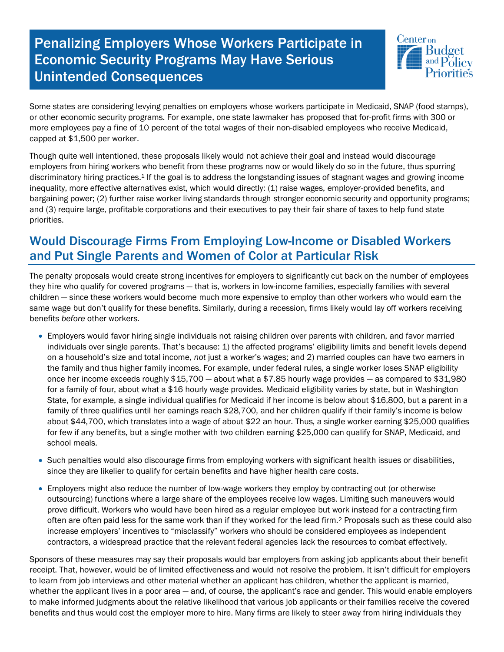# Penalizing Employers Whose Workers Participate in Economic Security Programs May Have Serious Unintended Consequences



Some states are considering levying penalties on employers whose workers participate in Medicaid, SNAP (food stamps), or other economic security programs. For example, one state lawmaker has proposed that for-profit firms with 300 or more employees pay a fine of 10 percent of the total wages of their non-disabled employees who receive Medicaid, capped at \$1,500 per worker.

Though quite well intentioned, these proposals likely would not achieve their goal and instead would discourage employers from hiring workers who benefit from these programs now or would likely do so in the future, thus spurring discriminatory hiring practices. <sup>1</sup> If the goal is to address the longstanding issues of stagnant wages and growing income inequality, more effective alternatives exist, which would directly: (1) raise wages, employer-provided benefits, and bargaining power; (2) further raise worker living standards through stronger economic security and opportunity programs; and (3) require large, profitable corporations and their executives to pay their fair share of taxes to help fund state priorities.

### Would Discourage Firms From Employing Low-Income or Disabled Workers and Put Single Parents and Women of Color at Particular Risk

The penalty proposals would create strong incentives for employers to significantly cut back on the number of employees they hire who qualify for covered programs — that is, workers in low-income families, especially families with several children — since these workers would become much more expensive to employ than other workers who would earn the same wage but don't qualify for these benefits. Similarly, during a recession, firms likely would lay off workers receiving benefits *before* other workers.

- Employers would favor hiring single individuals not raising children over parents with children, and favor married individuals over single parents. That's because: 1) the affected programs' eligibility limits and benefit levels depend on a household's size and total income, *not* just a worker's wages; and 2) married couples can have two earners in the family and thus higher family incomes. For example, under federal rules, a single worker loses SNAP eligibility once her income exceeds roughly \$15,700 — about what a \$7.85 hourly wage provides — as compared to \$31,980 for a family of four, about what a \$16 hourly wage provides. Medicaid eligibility varies by state, but in Washington State, for example, a single individual qualifies for Medicaid if her income is below about \$16,800, but a parent in a family of three qualifies until her earnings reach \$28,700, and her children qualify if their family's income is below about \$44,700, which translates into a wage of about \$22 an hour. Thus, a single worker earning \$25,000 qualifies for few if any benefits, but a single mother with two children earning \$25,000 can qualify for SNAP, Medicaid, and school meals.
- Such penalties would also discourage firms from employing workers with significant health issues or disabilities, since they are likelier to qualify for certain benefits and have higher health care costs.
- Employers might also reduce the number of low-wage workers they employ by contracting out (or otherwise outsourcing) functions where a large share of the employees receive low wages. Limiting such maneuvers would prove difficult. Workers who would have been hired as a regular employee but work instead for a contracting firm often are often paid less for the same work than if they worked for the lead firm.<sup>2</sup> Proposals such as these could also increase employers' incentives to "misclassify" workers who should be considered employees as independent contractors, a widespread practice that the relevant federal agencies lack the resources to combat effectively.

Sponsors of these measures may say their proposals would bar employers from asking job applicants about their benefit receipt. That, however, would be of limited effectiveness and would not resolve the problem. It isn't difficult for employers to learn from job interviews and other material whether an applicant has children, whether the applicant is married, whether the applicant lives in a poor area — and, of course, the applicant's race and gender. This would enable employers to make informed judgments about the relative likelihood that various job applicants or their families receive the covered benefits and thus would cost the employer more to hire. Many firms are likely to steer away from hiring individuals they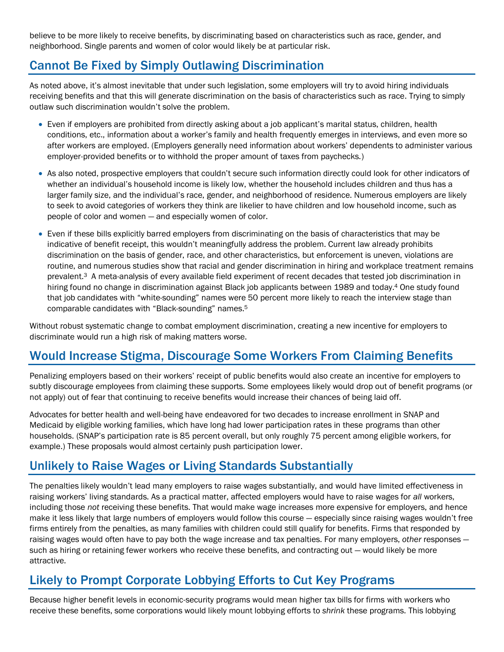believe to be more likely to receive benefits, by discriminating based on characteristics such as race, gender, and neighborhood. Single parents and women of color would likely be at particular risk.

### Cannot Be Fixed by Simply Outlawing Discrimination

As noted above, it's almost inevitable that under such legislation, some employers will try to avoid hiring individuals receiving benefits and that this will generate discrimination on the basis of characteristics such as race. Trying to simply outlaw such discrimination wouldn't solve the problem.

- Even if employers are prohibited from directly asking about a job applicant's marital status, children, health conditions, etc., information about a worker's family and health frequently emerges in interviews, and even more so after workers are employed. (Employers generally need information about workers' dependents to administer various employer-provided benefits or to withhold the proper amount of taxes from paychecks.)
- As also noted, prospective employers that couldn't secure such information directly could look for other indicators of whether an individual's household income is likely low, whether the household includes children and thus has a larger family size, and the individual's race, gender, and neighborhood of residence. Numerous employers are likely to seek to avoid categories of workers they think are likelier to have children and low household income, such as people of color and women — and especially women of color.
- Even if these bills explicitly barred employers from discriminating on the basis of characteristics that may be indicative of benefit receipt, this wouldn't meaningfully address the problem. Current law already prohibits discrimination on the basis of gender, race, and other characteristics, but enforcement is uneven, violations are routine, and numerous studies show that racial and gender discrimination in hiring and workplace treatment remains prevalent.<sup>3</sup> A meta-analysis of every available field experiment of recent decades that tested job discrimination in hiring found no change in discrimination against Black job applicants between 1989 and today.<sup>4</sup> One study found that job candidates with "white-sounding" names were 50 percent more likely to reach the interview stage than comparable candidates with "Black-sounding" names. 5

Without robust systematic change to combat employment discrimination, creating a new incentive for employers to discriminate would run a high risk of making matters worse.

## Would Increase Stigma, Discourage Some Workers From Claiming Benefits

Penalizing employers based on their workers' receipt of public benefits would also create an incentive for employers to subtly discourage employees from claiming these supports. Some employees likely would drop out of benefit programs (or not apply) out of fear that continuing to receive benefits would increase their chances of being laid off.

Advocates for better health and well-being have endeavored for two decades to increase enrollment in SNAP and Medicaid by eligible working families, which have long had lower participation rates in these programs than other households. (SNAP's participation rate is 85 percent overall, but only roughly 75 percent among eligible workers, for example.) These proposals would almost certainly push participation lower.

## Unlikely to Raise Wages or Living Standards Substantially

The penalties likely wouldn't lead many employers to raise wages substantially, and would have limited effectiveness in raising workers' living standards. As a practical matter, affected employers would have to raise wages for *all* workers, including those *not* receiving these benefits. That would make wage increases more expensive for employers, and hence make it less likely that large numbers of employers would follow this course — especially since raising wages wouldn't free firms entirely from the penalties, as many families with children could still qualify for benefits. Firms that responded by raising wages would often have to pay both the wage increase and tax penalties. For many employers, *other* responses such as hiring or retaining fewer workers who receive these benefits, and contracting out — would likely be more attractive.

## Likely to Prompt Corporate Lobbying Efforts to Cut Key Programs

Because higher benefit levels in economic-security programs would mean higher tax bills for firms with workers who receive these benefits, some corporations would likely mount lobbying efforts to *shrink* these programs. This lobbying